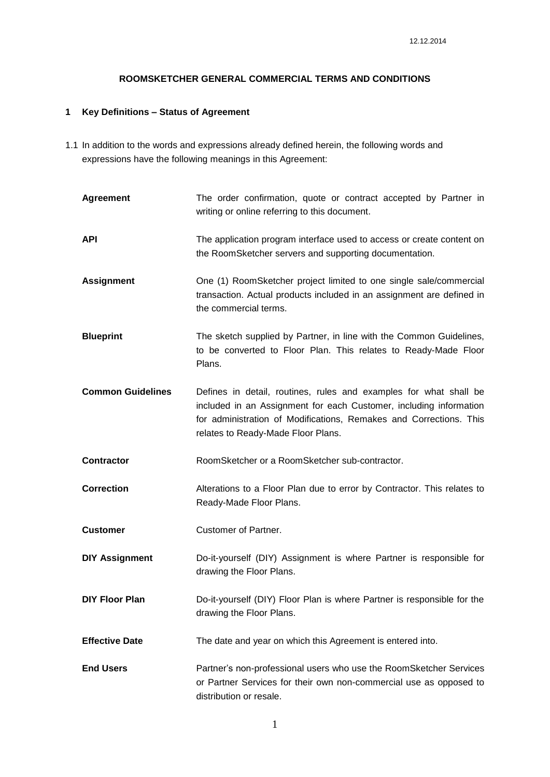## **ROOMSKETCHER GENERAL COMMERCIAL TERMS AND CONDITIONS**

# **1 Key Definitions – Status of Agreement**

1.1 In addition to the words and expressions already defined herein, the following words and expressions have the following meanings in this Agreement:

| <b>Agreement</b>         | The order confirmation, quote or contract accepted by Partner in<br>writing or online referring to this document.                                                                                                                                   |
|--------------------------|-----------------------------------------------------------------------------------------------------------------------------------------------------------------------------------------------------------------------------------------------------|
| <b>API</b>               | The application program interface used to access or create content on<br>the RoomSketcher servers and supporting documentation.                                                                                                                     |
| <b>Assignment</b>        | One (1) RoomSketcher project limited to one single sale/commercial<br>transaction. Actual products included in an assignment are defined in<br>the commercial terms.                                                                                |
| <b>Blueprint</b>         | The sketch supplied by Partner, in line with the Common Guidelines,<br>to be converted to Floor Plan. This relates to Ready-Made Floor<br>Plans.                                                                                                    |
| <b>Common Guidelines</b> | Defines in detail, routines, rules and examples for what shall be<br>included in an Assignment for each Customer, including information<br>for administration of Modifications, Remakes and Corrections. This<br>relates to Ready-Made Floor Plans. |
| <b>Contractor</b>        | RoomSketcher or a RoomSketcher sub-contractor.                                                                                                                                                                                                      |
| <b>Correction</b>        | Alterations to a Floor Plan due to error by Contractor. This relates to<br>Ready-Made Floor Plans.                                                                                                                                                  |
| <b>Customer</b>          | <b>Customer of Partner.</b>                                                                                                                                                                                                                         |
| <b>DIY Assignment</b>    | Do-it-yourself (DIY) Assignment is where Partner is responsible for<br>drawing the Floor Plans.                                                                                                                                                     |
| <b>DIY Floor Plan</b>    | Do-it-yourself (DIY) Floor Plan is where Partner is responsible for the<br>drawing the Floor Plans.                                                                                                                                                 |
| <b>Effective Date</b>    | The date and year on which this Agreement is entered into.                                                                                                                                                                                          |
| <b>End Users</b>         | Partner's non-professional users who use the RoomSketcher Services<br>or Partner Services for their own non-commercial use as opposed to<br>distribution or resale.                                                                                 |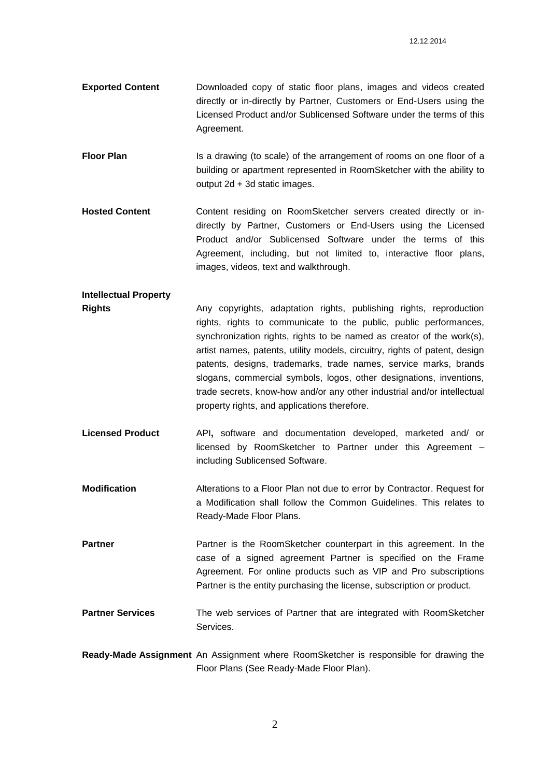- **Exported Content** Downloaded copy of static floor plans, images and videos created directly or in-directly by Partner, Customers or End-Users using the Licensed Product and/or Sublicensed Software under the terms of this Agreement.
- **Floor Plan** Is a drawing (to scale) of the arrangement of rooms on one floor of a building or apartment represented in RoomSketcher with the ability to output 2d + 3d static images.
- **Hosted Content** Content residing on RoomSketcher servers created directly or indirectly by Partner, Customers or End-Users using the Licensed Product and/or Sublicensed Software under the terms of this Agreement, including, but not limited to, interactive floor plans, images, videos, text and walkthrough.
- **Intellectual Property Rights Any copyrights, adaptation rights, publishing rights, reproduction** rights, rights to communicate to the public, public performances, synchronization rights, rights to be named as creator of the work(s), artist names, patents, utility models, circuitry, rights of patent, design patents, designs, trademarks, trade names, service marks, brands slogans, commercial symbols, logos, other designations, inventions, trade secrets, know-how and/or any other industrial and/or intellectual property rights, and applications therefore.
- **Licensed Product** API**,** software and documentation developed, marketed and/ or licensed by RoomSketcher to Partner under this Agreement – including Sublicensed Software.
- **Modification** Alterations to a Floor Plan not due to error by Contractor. Request for a Modification shall follow the Common Guidelines. This relates to Ready-Made Floor Plans.

**Partner Partner** is the RoomSketcher counterpart in this agreement. In the case of a signed agreement Partner is specified on the Frame Agreement. For online products such as VIP and Pro subscriptions Partner is the entity purchasing the license, subscription or product.

- **Partner Services** The web services of Partner that are integrated with RoomSketcher Services.
- **Ready-Made Assignment** An Assignment where RoomSketcher is responsible for drawing the Floor Plans (See Ready-Made Floor Plan).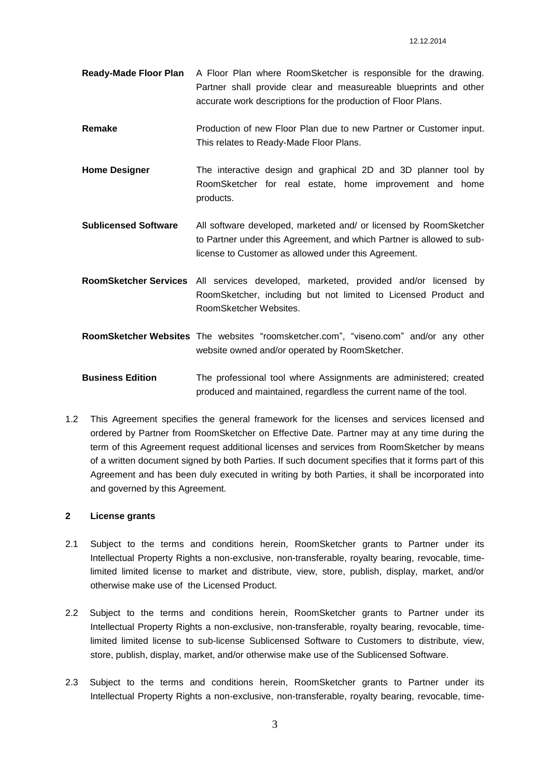- **Ready-Made Floor Plan** A Floor Plan where RoomSketcher is responsible for the drawing. Partner shall provide clear and measureable blueprints and other accurate work descriptions for the production of Floor Plans.
- **Remake** Production of new Floor Plan due to new Partner or Customer input. This relates to Ready-Made Floor Plans.
- **Home Designer** The interactive design and graphical 2D and 3D planner tool by RoomSketcher for real estate, home improvement and home products.
- **Sublicensed Software** All software developed, marketed and/ or licensed by RoomSketcher to Partner under this Agreement, and which Partner is allowed to sublicense to Customer as allowed under this Agreement.
- **RoomSketcher Services** All services developed, marketed, provided and/or licensed by RoomSketcher, including but not limited to Licensed Product and RoomSketcher Websites.
- **RoomSketcher Websites** The websites "roomsketcher.com", "viseno.com" and/or any other website owned and/or operated by RoomSketcher.
- **Business Edition** The professional tool where Assignments are administered; created produced and maintained, regardless the current name of the tool.
- 1.2 This Agreement specifies the general framework for the licenses and services licensed and ordered by Partner from RoomSketcher on Effective Date. Partner may at any time during the term of this Agreement request additional licenses and services from RoomSketcher by means of a written document signed by both Parties. If such document specifies that it forms part of this Agreement and has been duly executed in writing by both Parties, it shall be incorporated into and governed by this Agreement.

## **2 License grants**

- 2.1 Subject to the terms and conditions herein, RoomSketcher grants to Partner under its Intellectual Property Rights a non-exclusive, non-transferable, royalty bearing, revocable, timelimited limited license to market and distribute, view, store, publish, display, market, and/or otherwise make use of the Licensed Product.
- 2.2 Subject to the terms and conditions herein, RoomSketcher grants to Partner under its Intellectual Property Rights a non-exclusive, non-transferable, royalty bearing, revocable, timelimited limited license to sub-license Sublicensed Software to Customers to distribute, view, store, publish, display, market, and/or otherwise make use of the Sublicensed Software.
- 2.3 Subject to the terms and conditions herein, RoomSketcher grants to Partner under its Intellectual Property Rights a non-exclusive, non-transferable, royalty bearing, revocable, time-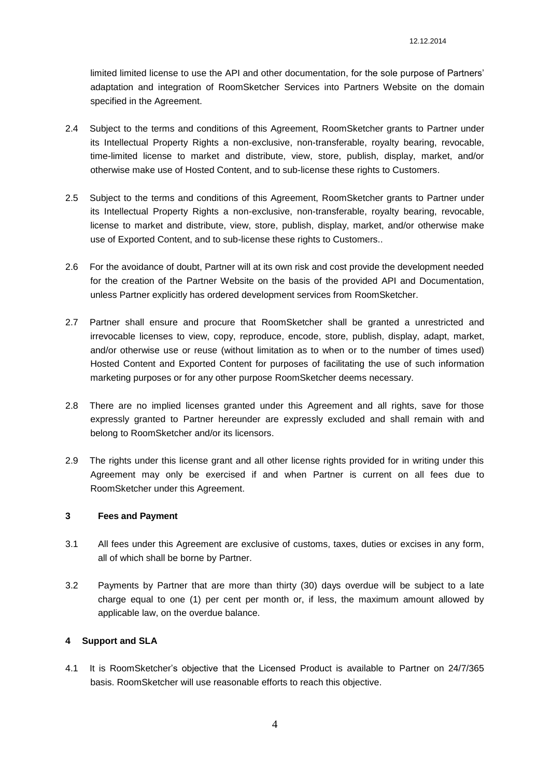limited limited license to use the API and other documentation, for the sole purpose of Partners' adaptation and integration of RoomSketcher Services into Partners Website on the domain specified in the Agreement.

- 2.4 Subject to the terms and conditions of this Agreement, RoomSketcher grants to Partner under its Intellectual Property Rights a non-exclusive, non-transferable, royalty bearing, revocable, time-limited license to market and distribute, view, store, publish, display, market, and/or otherwise make use of Hosted Content, and to sub-license these rights to Customers.
- 2.5 Subject to the terms and conditions of this Agreement, RoomSketcher grants to Partner under its Intellectual Property Rights a non-exclusive, non-transferable, royalty bearing, revocable, license to market and distribute, view, store, publish, display, market, and/or otherwise make use of Exported Content, and to sub-license these rights to Customers..
- 2.6 For the avoidance of doubt, Partner will at its own risk and cost provide the development needed for the creation of the Partner Website on the basis of the provided API and Documentation, unless Partner explicitly has ordered development services from RoomSketcher.
- 2.7 Partner shall ensure and procure that RoomSketcher shall be granted a unrestricted and irrevocable licenses to view, copy, reproduce, encode, store, publish, display, adapt, market, and/or otherwise use or reuse (without limitation as to when or to the number of times used) Hosted Content and Exported Content for purposes of facilitating the use of such information marketing purposes or for any other purpose RoomSketcher deems necessary.
- 2.8 There are no implied licenses granted under this Agreement and all rights, save for those expressly granted to Partner hereunder are expressly excluded and shall remain with and belong to RoomSketcher and/or its licensors.
- 2.9 The rights under this license grant and all other license rights provided for in writing under this Agreement may only be exercised if and when Partner is current on all fees due to RoomSketcher under this Agreement.

#### **3 Fees and Payment**

- 3.1 All fees under this Agreement are exclusive of customs, taxes, duties or excises in any form, all of which shall be borne by Partner.
- 3.2 Payments by Partner that are more than thirty (30) days overdue will be subject to a late charge equal to one (1) per cent per month or, if less, the maximum amount allowed by applicable law, on the overdue balance.

## **4 Support and SLA**

4.1 It is RoomSketcher's objective that the Licensed Product is available to Partner on 24/7/365 basis. RoomSketcher will use reasonable efforts to reach this objective.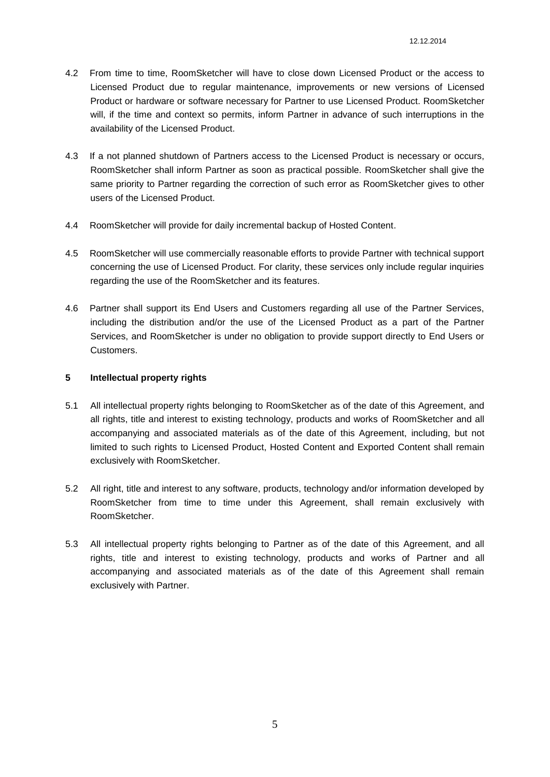- 4.2 From time to time, RoomSketcher will have to close down Licensed Product or the access to Licensed Product due to regular maintenance, improvements or new versions of Licensed Product or hardware or software necessary for Partner to use Licensed Product. RoomSketcher will, if the time and context so permits, inform Partner in advance of such interruptions in the availability of the Licensed Product.
- 4.3 If a not planned shutdown of Partners access to the Licensed Product is necessary or occurs, RoomSketcher shall inform Partner as soon as practical possible. RoomSketcher shall give the same priority to Partner regarding the correction of such error as RoomSketcher gives to other users of the Licensed Product.
- 4.4 RoomSketcher will provide for daily incremental backup of Hosted Content.
- 4.5 RoomSketcher will use commercially reasonable efforts to provide Partner with technical support concerning the use of Licensed Product. For clarity, these services only include regular inquiries regarding the use of the RoomSketcher and its features.
- 4.6 Partner shall support its End Users and Customers regarding all use of the Partner Services, including the distribution and/or the use of the Licensed Product as a part of the Partner Services, and RoomSketcher is under no obligation to provide support directly to End Users or Customers.

## **5 Intellectual property rights**

- 5.1 All intellectual property rights belonging to RoomSketcher as of the date of this Agreement, and all rights, title and interest to existing technology, products and works of RoomSketcher and all accompanying and associated materials as of the date of this Agreement, including, but not limited to such rights to Licensed Product, Hosted Content and Exported Content shall remain exclusively with RoomSketcher.
- 5.2 All right, title and interest to any software, products, technology and/or information developed by RoomSketcher from time to time under this Agreement, shall remain exclusively with RoomSketcher.
- 5.3 All intellectual property rights belonging to Partner as of the date of this Agreement, and all rights, title and interest to existing technology, products and works of Partner and all accompanying and associated materials as of the date of this Agreement shall remain exclusively with Partner.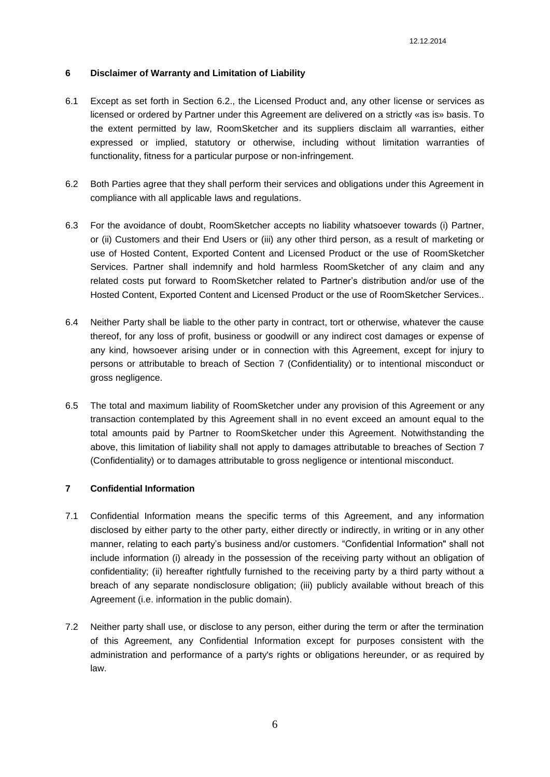#### **6 Disclaimer of Warranty and Limitation of Liability**

- 6.1 Except as set forth in Section 6.2., the Licensed Product and, any other license or services as licensed or ordered by Partner under this Agreement are delivered on a strictly «as is» basis. To the extent permitted by law, RoomSketcher and its suppliers disclaim all warranties, either expressed or implied, statutory or otherwise, including without limitation warranties of functionality, fitness for a particular purpose or non-infringement.
- 6.2 Both Parties agree that they shall perform their services and obligations under this Agreement in compliance with all applicable laws and regulations.
- 6.3 For the avoidance of doubt, RoomSketcher accepts no liability whatsoever towards (i) Partner, or (ii) Customers and their End Users or (iii) any other third person, as a result of marketing or use of Hosted Content, Exported Content and Licensed Product or the use of RoomSketcher Services. Partner shall indemnify and hold harmless RoomSketcher of any claim and any related costs put forward to RoomSketcher related to Partner's distribution and/or use of the Hosted Content, Exported Content and Licensed Product or the use of RoomSketcher Services..
- 6.4 Neither Party shall be liable to the other party in contract, tort or otherwise, whatever the cause thereof, for any loss of profit, business or goodwill or any indirect cost damages or expense of any kind, howsoever arising under or in connection with this Agreement, except for injury to persons or attributable to breach of Section 7 (Confidentiality) or to intentional misconduct or gross negligence.
- 6.5 The total and maximum liability of RoomSketcher under any provision of this Agreement or any transaction contemplated by this Agreement shall in no event exceed an amount equal to the total amounts paid by Partner to RoomSketcher under this Agreement. Notwithstanding the above, this limitation of liability shall not apply to damages attributable to breaches of Section 7 (Confidentiality) or to damages attributable to gross negligence or intentional misconduct.

#### **7 Confidential Information**

- 7.1 Confidential Information means the specific terms of this Agreement, and any information disclosed by either party to the other party, either directly or indirectly, in writing or in any other manner, relating to each party's business and/or customers. "Confidential Information" shall not include information (i) already in the possession of the receiving party without an obligation of confidentiality; (ii) hereafter rightfully furnished to the receiving party by a third party without a breach of any separate nondisclosure obligation; (iii) publicly available without breach of this Agreement (i.e. information in the public domain).
- 7.2 Neither party shall use, or disclose to any person, either during the term or after the termination of this Agreement, any Confidential Information except for purposes consistent with the administration and performance of a party's rights or obligations hereunder, or as required by law.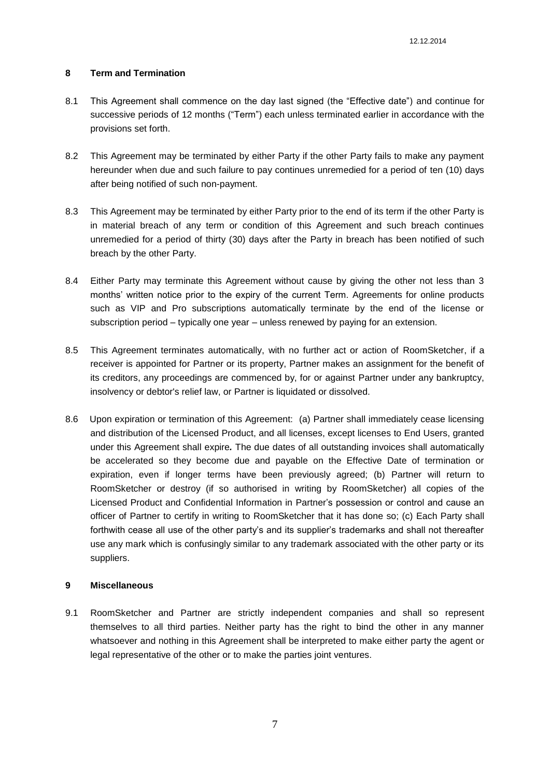#### **8 Term and Termination**

- 8.1 This Agreement shall commence on the day last signed (the "Effective date") and continue for successive periods of 12 months ("Term") each unless terminated earlier in accordance with the provisions set forth.
- 8.2 This Agreement may be terminated by either Party if the other Party fails to make any payment hereunder when due and such failure to pay continues unremedied for a period of ten (10) days after being notified of such non-payment.
- 8.3 This Agreement may be terminated by either Party prior to the end of its term if the other Party is in material breach of any term or condition of this Agreement and such breach continues unremedied for a period of thirty (30) days after the Party in breach has been notified of such breach by the other Party.
- 8.4 Either Party may terminate this Agreement without cause by giving the other not less than 3 months' written notice prior to the expiry of the current Term. Agreements for online products such as VIP and Pro subscriptions automatically terminate by the end of the license or subscription period – typically one year – unless renewed by paying for an extension.
- 8.5 This Agreement terminates automatically, with no further act or action of RoomSketcher, if a receiver is appointed for Partner or its property, Partner makes an assignment for the benefit of its creditors, any proceedings are commenced by, for or against Partner under any bankruptcy, insolvency or debtor's relief law, or Partner is liquidated or dissolved.
- 8.6 Upon expiration or termination of this Agreement: (a) Partner shall immediately cease licensing and distribution of the Licensed Product, and all licenses, except licenses to End Users, granted under this Agreement shall expire*.* The due dates of all outstanding invoices shall automatically be accelerated so they become due and payable on the Effective Date of termination or expiration, even if longer terms have been previously agreed; (b) Partner will return to RoomSketcher or destroy (if so authorised in writing by RoomSketcher) all copies of the Licensed Product and Confidential Information in Partner's possession or control and cause an officer of Partner to certify in writing to RoomSketcher that it has done so; (c) Each Party shall forthwith cease all use of the other party's and its supplier's trademarks and shall not thereafter use any mark which is confusingly similar to any trademark associated with the other party or its suppliers.

## **9 Miscellaneous**

9.1 RoomSketcher and Partner are strictly independent companies and shall so represent themselves to all third parties. Neither party has the right to bind the other in any manner whatsoever and nothing in this Agreement shall be interpreted to make either party the agent or legal representative of the other or to make the parties joint ventures.